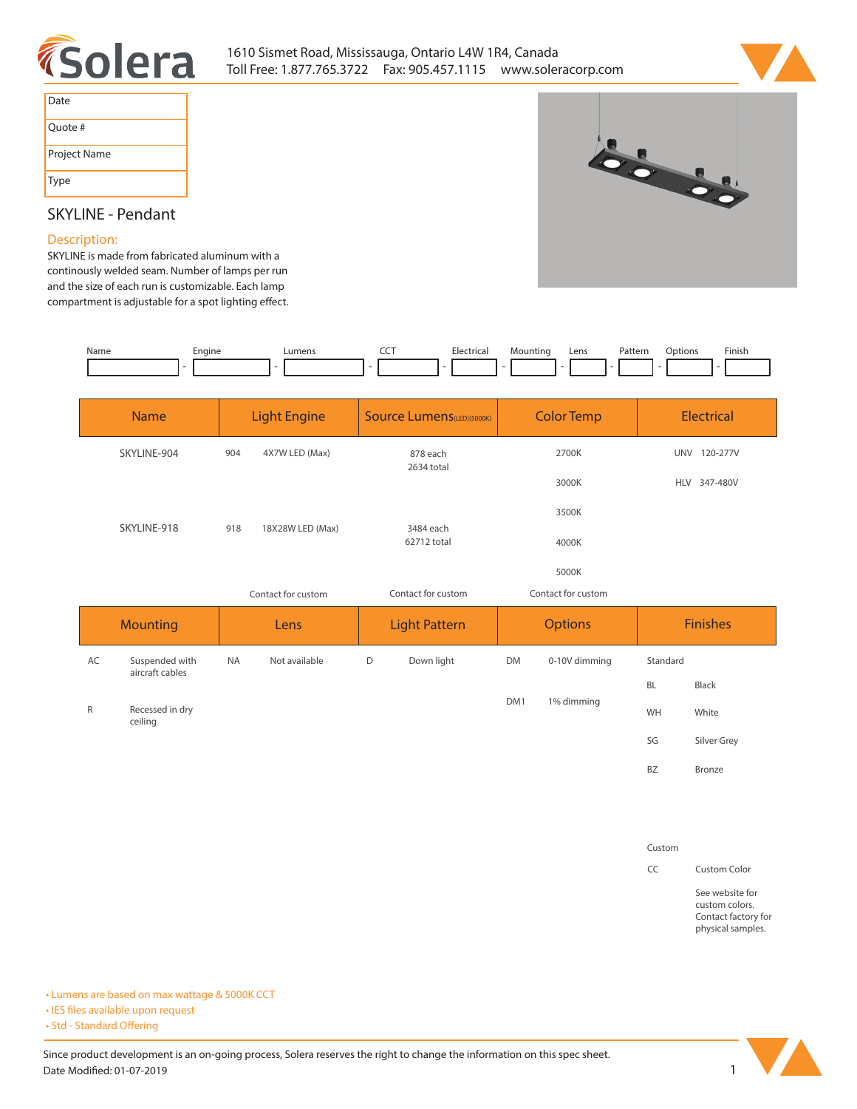



| Date         |
|--------------|
| Quote #      |
| Project Name |
| Type         |



## **SKYLINE - Pendant**

#### **Description:**

**SKYLINE is made from fabricated aluminum with a continously welded seam. Number of lamps per run and the size of each run is customizable. Each lamp**  compartment is adjustable for a spot lighting effect.

| Name | Engine<br>__ | ∟umens | --- | Electrical | Mountina | Lens | Patterr<br>. | Jotions | Finish |
|------|--------------|--------|-----|------------|----------|------|--------------|---------|--------|
|      |              |        |     |            |          |      |              |         |        |

|              | <b>Name</b>                |                       | <b>Light Engine</b> | <b>Source Lumens (LED)(5000K)</b> |                      | <b>Color Temp</b> |                    | <b>Electrical</b> |                 |
|--------------|----------------------------|-----------------------|---------------------|-----------------------------------|----------------------|-------------------|--------------------|-------------------|-----------------|
|              | SKYLINE-904                | 4X7W LED (Max)<br>904 |                     | 878 each                          |                      | 2700K             |                    |                   | UNV 120-277V    |
|              |                            |                       | 18X28W LED (Max)    | 2634 total                        |                      | 3000K             |                    |                   | HLV 347-480V    |
|              |                            |                       |                     |                                   |                      | 3500K             |                    |                   |                 |
|              | SKYLINE-918                | 918                   |                     | 3484 each<br>62712 total          |                      |                   | 4000K              |                   |                 |
|              |                            |                       |                     |                                   | 5000K                |                   |                    |                   |                 |
|              |                            |                       | Contact for custom  |                                   | Contact for custom   |                   | Contact for custom |                   |                 |
|              | <b>Mounting</b>            |                       | Lens                |                                   | <b>Light Pattern</b> |                   | <b>Options</b>     |                   |                 |
|              |                            |                       |                     |                                   |                      |                   |                    |                   | <b>Finishes</b> |
| AC           | Suspended with             | <b>NA</b>             | Not available       | D                                 | Down light           | <b>DM</b>         | 0-10V dimming      | Standard          |                 |
|              | aircraft cables            |                       |                     |                                   |                      |                   |                    | <b>BL</b>         | Black           |
| $\mathsf{R}$ | Recessed in dry<br>ceiling |                       |                     |                                   |                      | DM1               | 1% dimming         | WH                | White           |
|              |                            |                       |                     |                                   |                      |                   |                    | SG                | Silver Grey     |

#### **Custom**

**CC Custom Color**

**See website for custom colors. Contact factory for physical samples.** 

**• Lumens are based on max wattage & 5000K CCT**

**• IES files available upon request** 

• Std - Standard Offering